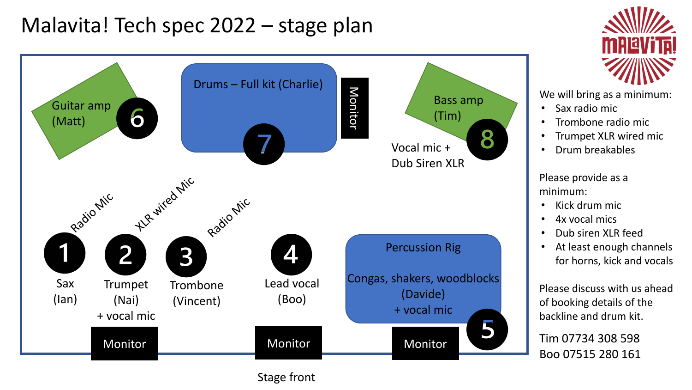# Malavita! Tech spec 2022 – stage plan



Stage front



We will bring as a minimum:

- Sax radio mic
- Trombone radio mic
- Trumpet XLR wired mic
- Drum breakables

Please provide as a minimum:

- Kick drum mic
- 4x vocal mics
- Dub siren XLR feed
- At least enough channels for horns, kick and vocals

Please discuss with us ahead of booking details of the backline and drum kit.

Tim 07734 308 598 Boo 07515 280 161